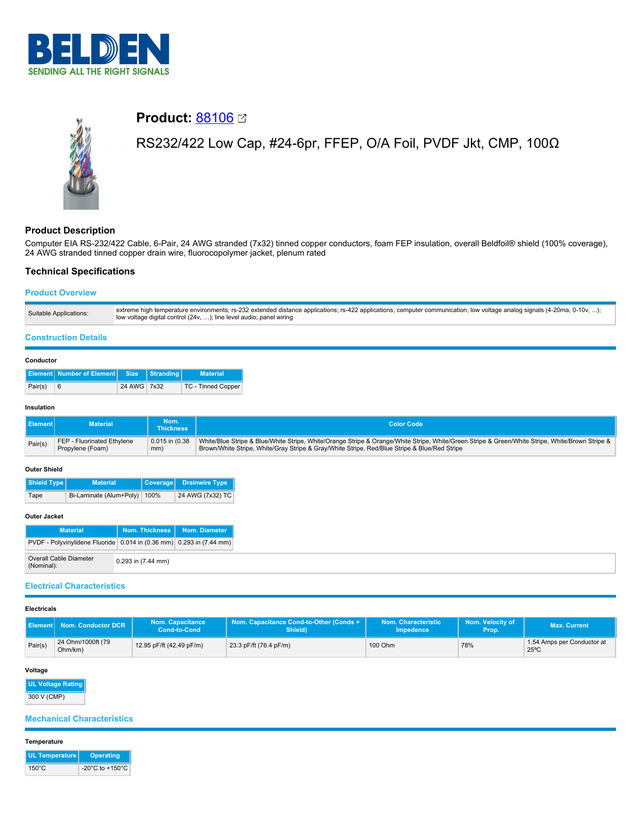



# **Product: [88106](https://catalog.belden.com/index.cfm?event=pd&p=PF_88106&tab=downloads) 2**

# RS232/422 Low Cap, #24-6pr, FFEP, O/A Foil, PVDF Jkt, CMP, 100Ω

# **Product Description**

Computer EIA RS-232/422 Cable, 6-Pair, 24 AWG stranded (7x32) tinned copper conductors, foam FEP insulation, overall Beldfoil® shield (100% coverage), 24 AWG stranded tinned copper drain wire, fluorocopolymer jacket, plenum rated

# **Technical Specifications**

## **Product Overview**

| Suitable Applications: | extreme high temperature environments; rs-232 extended distance applications; rs-422 applications; computer communication; low voltage analog signals (4-20ma, 0-10v, );<br>low voltage digital control (24v, ); line level audio; panel wiring |
|------------------------|-------------------------------------------------------------------------------------------------------------------------------------------------------------------------------------------------------------------------------------------------|
|                        |                                                                                                                                                                                                                                                 |

## **Construction Details**

| Conductor |
|-----------|
|-----------|

|         | <b>Element Number of Element Size Stranding</b> |             | <b>Material</b>    |
|---------|-------------------------------------------------|-------------|--------------------|
| Pair(s) | - 6                                             | 24 AWG 7x32 | TC - Tinned Copper |

## **Insulation**

| l Element l | <b>Material</b>            | Nom.<br>ا Thickness | <b>Color Code</b>                                                                                                                               |
|-------------|----------------------------|---------------------|-------------------------------------------------------------------------------------------------------------------------------------------------|
| Pair(s)     | FEP - Fluorinated Ethylene | $0.015$ in $(0.38)$ | White/Blue Stripe & Blue/White Stripe, White/Orange Stripe & Orange/White Stripe, White/Green Stripe & Green/White Stripe, White/Brown Stripe & |
|             | Propylene (Foam)           | mm)                 | Brown/White Stripe, White/Gray Stripe & Gray/White Stripe, Red/Blue Stripe & Blue/Red Stripe                                                    |

#### **Outer Shield**

| Shield Type | <b>Material</b>              | Coverage Drainwire Type |
|-------------|------------------------------|-------------------------|
| Tape        | Bi-Laminate (Alum+Poly) 100% | 24 AWG (7x32) TC        |

#### **Outer Jacket**

| <b>Material</b>                                                      |                        | Nom. Thickness   Nom. Diameter |
|----------------------------------------------------------------------|------------------------|--------------------------------|
| PVDF - Polyvinylidene Fluoride 0.014 in (0.36 mm) 0.293 in (7.44 mm) |                        |                                |
| Overall Cable Diameter<br>(Nominal):                                 | $0.293$ in $(7.44$ mm) |                                |

### **Electrical Characteristics**

#### **Electricals**

| II Element I | Nom. Conductor DCR           | <b>Nom. Capacitance</b><br><b>Cond-to-Cond</b> | Nom. Capacitance Cond-to-Other (Conds +<br>Shield) | Nom. Characteristic<br>Impedence | Nom. Velocity of<br>Prop. | Max. Current                                 |
|--------------|------------------------------|------------------------------------------------|----------------------------------------------------|----------------------------------|---------------------------|----------------------------------------------|
| Pair(s)      | 24 Ohm/1000ft (79<br>Ohm/km) | 12.95 pF/ft (42.49 pF/m)                       | 23.3 pF/ft (76.4 pF/m)                             | 100 Ohm                          | 78%                       | 1.54 Amps per Conductor at<br>$25^{\circ}$ C |

## **Voltage**

**UL Voltage Rating** 300 V (CMP)

## **Mechanical Characteristics**

#### **Temperature**

| UL Temperature  | <b>Operating</b>                      |
|-----------------|---------------------------------------|
| $150^{\circ}$ C | -20 $^{\circ}$ C to +150 $^{\circ}$ C |